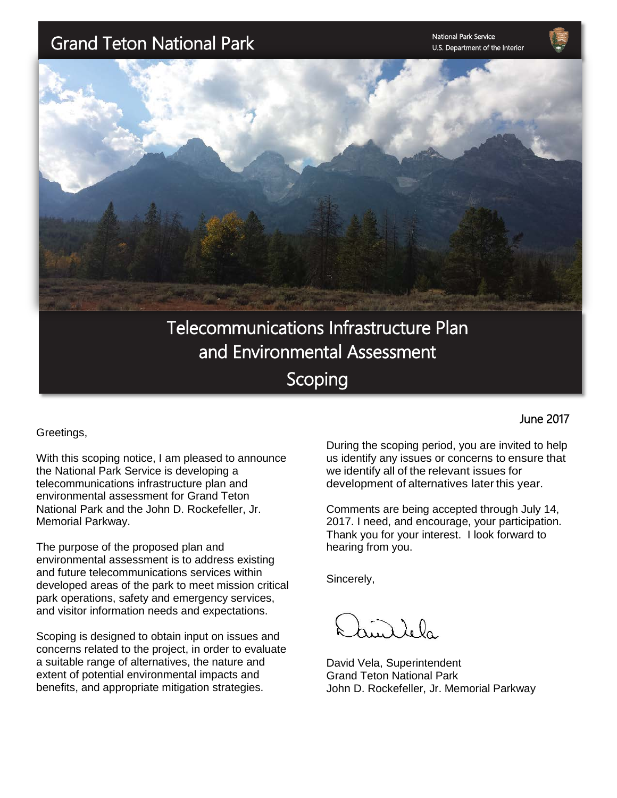# Grand Teton National Park

National Park Service U.S. Department of the Interior



Telecommunications Infrastructure Plan and Environmental Assessment Scoping

Greetings,

I

With this scoping notice, I am pleased to announce the National Park Service is developing a telecommunications infrastructure plan and environmental assessment for Grand Teton National Park and the John D. Rockefeller, Jr. Memorial Parkway.

The purpose of the proposed plan and environmental assessment is to address existing and future telecommunications services within developed areas of the park to meet mission critical park operations, safety and emergency services, and visitor information needs and expectations.

Scoping is designed to obtain input on issues and concerns related to the project, in order to evaluate a suitable range of alternatives, the nature and extent of potential environmental impacts and benefits, and appropriate mitigation strategies.

During the scoping period, you are invited to help us identify any issues or concerns to ensure that we identify all of the relevant issues for development of alternatives later this year.

Comments are being accepted through July 14, 2017. I need, and encourage, your participation. Thank you for your interest. I look forward to hearing from you.

Sincerely,

 $\lambda$   $\lambda$ <sub>0</sub>

David Vela, Superintendent Grand Teton National Park John D. Rockefeller, Jr. Memorial Parkway

#### June 2017

i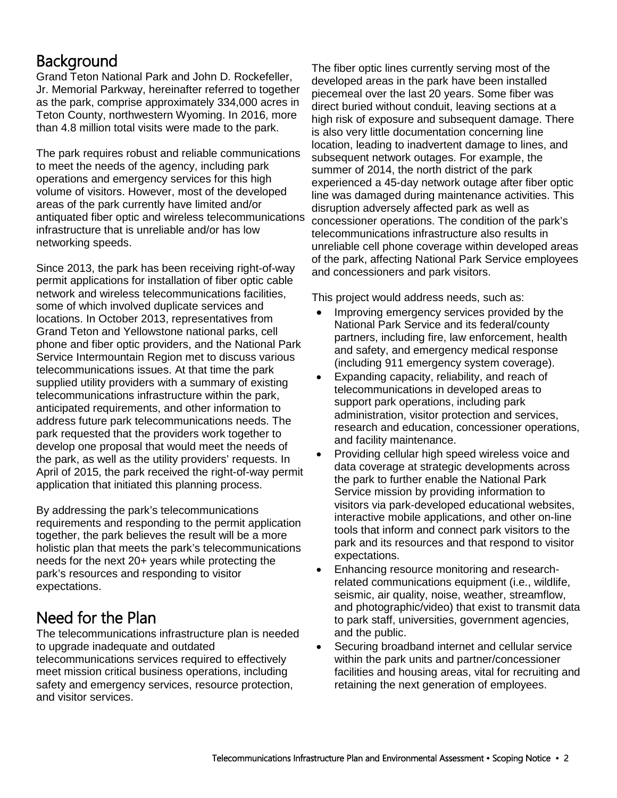#### **Background**

Grand Teton National Park and John D. Rockefeller, Jr. Memorial Parkway, hereinafter referred to together as the park, comprise approximately 334,000 acres in Teton County, northwestern Wyoming. In 2016, more than 4.8 million total visits were made to the park.

The park requires robust and reliable communications to meet the needs of the agency, including park operations and emergency services for this high volume of visitors. However, most of the developed areas of the park currently have limited and/or antiquated fiber optic and wireless telecommunications infrastructure that is unreliable and/or has low networking speeds.

Since 2013, the park has been receiving right-of-way permit applications for installation of fiber optic cable network and wireless telecommunications facilities, some of which involved duplicate services and locations. In October 2013, representatives from Grand Teton and Yellowstone national parks, cell phone and fiber optic providers, and the National Park Service Intermountain Region met to discuss various telecommunications issues. At that time the park supplied utility providers with a summary of existing telecommunications infrastructure within the park, anticipated requirements, and other information to address future park telecommunications needs. The park requested that the providers work together to develop one proposal that would meet the needs of the park, as well as the utility providers' requests. In April of 2015, the park received the right-of-way permit application that initiated this planning process.

By addressing the park's telecommunications requirements and responding to the permit application together, the park believes the result will be a more holistic plan that meets the park's telecommunications needs for the next 20+ years while protecting the park's resources and responding to visitor expectations.

### Need for the Plan

The telecommunications infrastructure plan is needed to upgrade inadequate and outdated telecommunications services required to effectively meet mission critical business operations, including safety and emergency services, resource protection, and visitor services.

The fiber optic lines currently serving most of the developed areas in the park have been installed piecemeal over the last 20 years. Some fiber was direct buried without conduit, leaving sections at a high risk of exposure and subsequent damage. There is also very little documentation concerning line location, leading to inadvertent damage to lines, and subsequent network outages. For example, the summer of 2014, the north district of the park experienced a 45-day network outage after fiber optic line was damaged during maintenance activities. This disruption adversely affected park as well as concessioner operations. The condition of the park's telecommunications infrastructure also results in unreliable cell phone coverage within developed areas of the park, affecting National Park Service employees and concessioners and park visitors.

This project would address needs, such as:

- Improving emergency services provided by the National Park Service and its federal/county partners, including fire, law enforcement, health and safety, and emergency medical response (including 911 emergency system coverage).
- Expanding capacity, reliability, and reach of telecommunications in developed areas to support park operations, including park administration, visitor protection and services, research and education, concessioner operations, and facility maintenance.
- Providing cellular high speed wireless voice and data coverage at strategic developments across the park to further enable the National Park Service mission by providing information to visitors via park-developed educational websites, interactive mobile applications, and other on-line tools that inform and connect park visitors to the park and its resources and that respond to visitor expectations.
- Enhancing resource monitoring and researchrelated communications equipment (i.e., wildlife, seismic, air quality, noise, weather, streamflow, and photographic/video) that exist to transmit data to park staff, universities, government agencies, and the public.
- Securing broadband internet and cellular service within the park units and partner/concessioner facilities and housing areas, vital for recruiting and retaining the next generation of employees.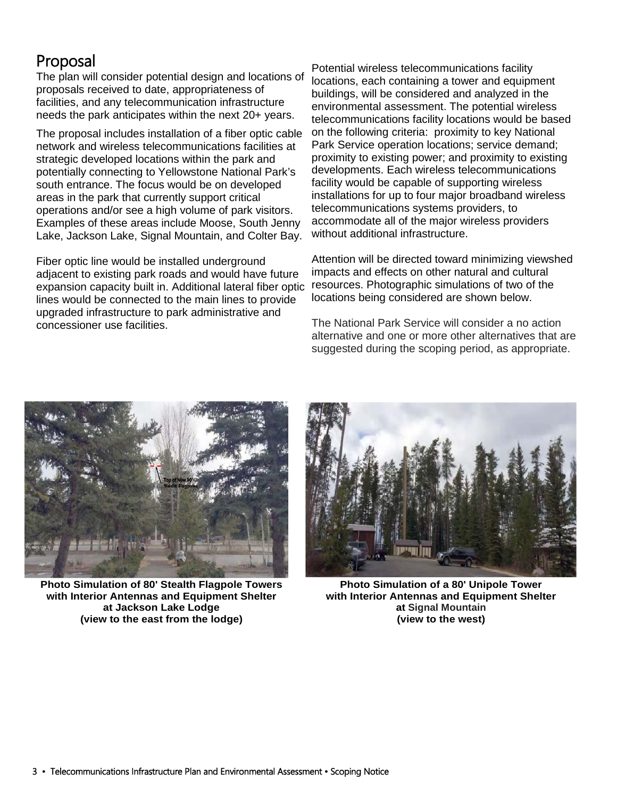#### Proposal

The plan will consider potential design and locations of proposals received to date, appropriateness of facilities, and any telecommunication infrastructure needs the park anticipates within the next 20+ years.

The proposal includes installation of a fiber optic cable network and wireless telecommunications facilities at strategic developed locations within the park and potentially connecting to Yellowstone National Park's south entrance. The focus would be on developed areas in the park that currently support critical operations and/or see a high volume of park visitors. Examples of these areas include Moose, South Jenny Lake, Jackson Lake, Signal Mountain, and Colter Bay.

Fiber optic line would be installed underground adjacent to existing park roads and would have future expansion capacity built in. Additional lateral fiber optic lines would be connected to the main lines to provide upgraded infrastructure to park administrative and concessioner use facilities.

Potential wireless telecommunications facility locations, each containing a tower and equipment buildings, will be considered and analyzed in the environmental assessment. The potential wireless telecommunications facility locations would be based on the following criteria: proximity to key National Park Service operation locations; service demand; proximity to existing power; and proximity to existing developments. Each wireless telecommunications facility would be capable of supporting wireless installations for up to four major broadband wireless telecommunications systems providers, to accommodate all of the major wireless providers without additional infrastructure.

Attention will be directed toward minimizing viewshed impacts and effects on other natural and cultural resources. Photographic simulations of two of the locations being considered are shown below.

The National Park Service will consider a no action alternative and one or more other alternatives that are suggested during the scoping period, as appropriate.



**Photo Simulation of 80' Stealth Flagpole Towers with Interior Antennas and Equipment Shelter at Jackson Lake Lodge (view to the east from the lodge)**



**Photo Simulation of a 80' Unipole Tower with Interior Antennas and Equipment Shelter at Signal Mountain (view to the west)**